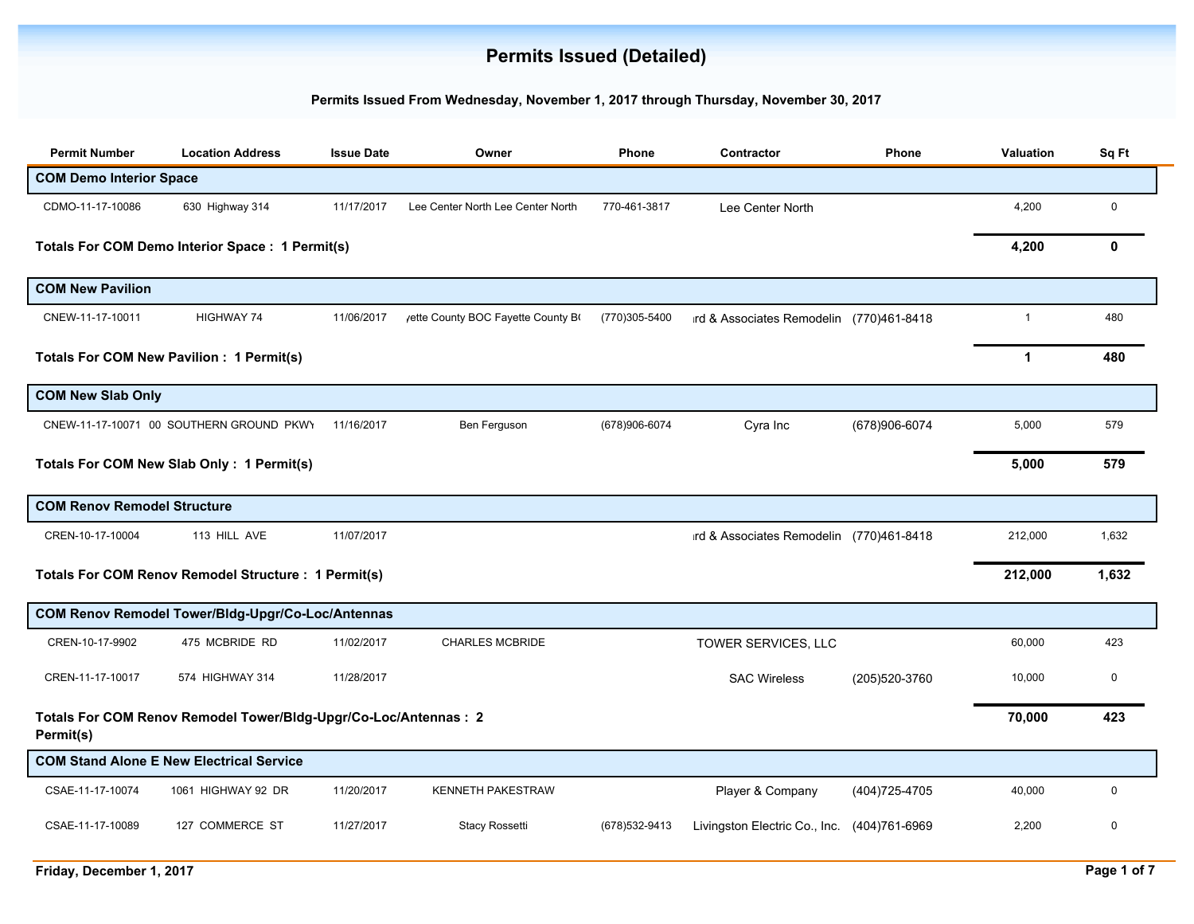## **Permits Issued (Detailed)**

## **Permits Issued From Wednesday, November 1, 2017 through Thursday, November 30, 2017**

| <b>Permit Number</b>               | <b>Location Address</b>                                          | <b>Issue Date</b> | Owner                              | <b>Phone</b>   | Contractor                                  | <b>Phone</b>   | <b>Valuation</b> | Sq Ft       |
|------------------------------------|------------------------------------------------------------------|-------------------|------------------------------------|----------------|---------------------------------------------|----------------|------------------|-------------|
| <b>COM Demo Interior Space</b>     |                                                                  |                   |                                    |                |                                             |                |                  |             |
| CDMO-11-17-10086                   | 630 Highway 314                                                  | 11/17/2017        | Lee Center North Lee Center North  | 770-461-3817   | Lee Center North                            |                | 4,200            | $\mathbf 0$ |
|                                    | Totals For COM Demo Interior Space : 1 Permit(s)                 |                   |                                    |                |                                             |                | 4,200            | 0           |
| <b>COM New Pavilion</b>            |                                                                  |                   |                                    |                |                                             |                |                  |             |
| CNEW-11-17-10011                   | HIGHWAY 74                                                       | 11/06/2017        | yette County BOC Fayette County Bo | (770)305-5400  | ırd & Associates Remodelin (770)461-8418    |                | $\mathbf 1$      | 480         |
|                                    | <b>Totals For COM New Pavilion: 1 Permit(s)</b>                  |                   |                                    |                |                                             |                | 1                | 480         |
| <b>COM New Slab Only</b>           |                                                                  |                   |                                    |                |                                             |                |                  |             |
|                                    | CNEW-11-17-10071 00 SOUTHERN GROUND PKWY                         | 11/16/2017        | Ben Ferguson                       | (678)906-6074  | Cyra Inc                                    | (678)906-6074  | 5,000            | 579         |
|                                    | Totals For COM New Slab Only : 1 Permit(s)                       |                   |                                    |                |                                             |                | 5,000            | 579         |
| <b>COM Renov Remodel Structure</b> |                                                                  |                   |                                    |                |                                             |                |                  |             |
| CREN-10-17-10004                   | 113 HILL AVE                                                     | 11/07/2017        |                                    |                | ird & Associates Remodelin (770)461-8418    |                | 212,000          | 1,632       |
|                                    | <b>Totals For COM Renov Remodel Structure : 1 Permit(s)</b>      |                   |                                    |                |                                             |                | 212,000          | 1,632       |
|                                    | COM Renov Remodel Tower/Bldg-Upgr/Co-Loc/Antennas                |                   |                                    |                |                                             |                |                  |             |
| CREN-10-17-9902                    | 475 MCBRIDE RD                                                   | 11/02/2017        | <b>CHARLES MCBRIDE</b>             |                | TOWER SERVICES, LLC                         |                | 60,000           | 423         |
| CREN-11-17-10017                   | 574 HIGHWAY 314                                                  | 11/28/2017        |                                    |                | <b>SAC Wireless</b>                         | (205)520-3760  | 10,000           | 0           |
| Permit(s)                          | Totals For COM Renov Remodel Tower/Bldg-Upgr/Co-Loc/Antennas : 2 |                   |                                    |                |                                             |                | 70,000           | 423         |
|                                    | <b>COM Stand Alone E New Electrical Service</b>                  |                   |                                    |                |                                             |                |                  |             |
| CSAE-11-17-10074                   | 1061 HIGHWAY 92 DR                                               | 11/20/2017        | <b>KENNETH PAKESTRAW</b>           |                | Player & Company                            | (404) 725-4705 | 40,000           | 0           |
| CSAE-11-17-10089                   | 127 COMMERCE ST                                                  | 11/27/2017        | <b>Stacy Rossetti</b>              | (678) 532-9413 | Livingston Electric Co., Inc. (404)761-6969 |                | 2,200            | 0           |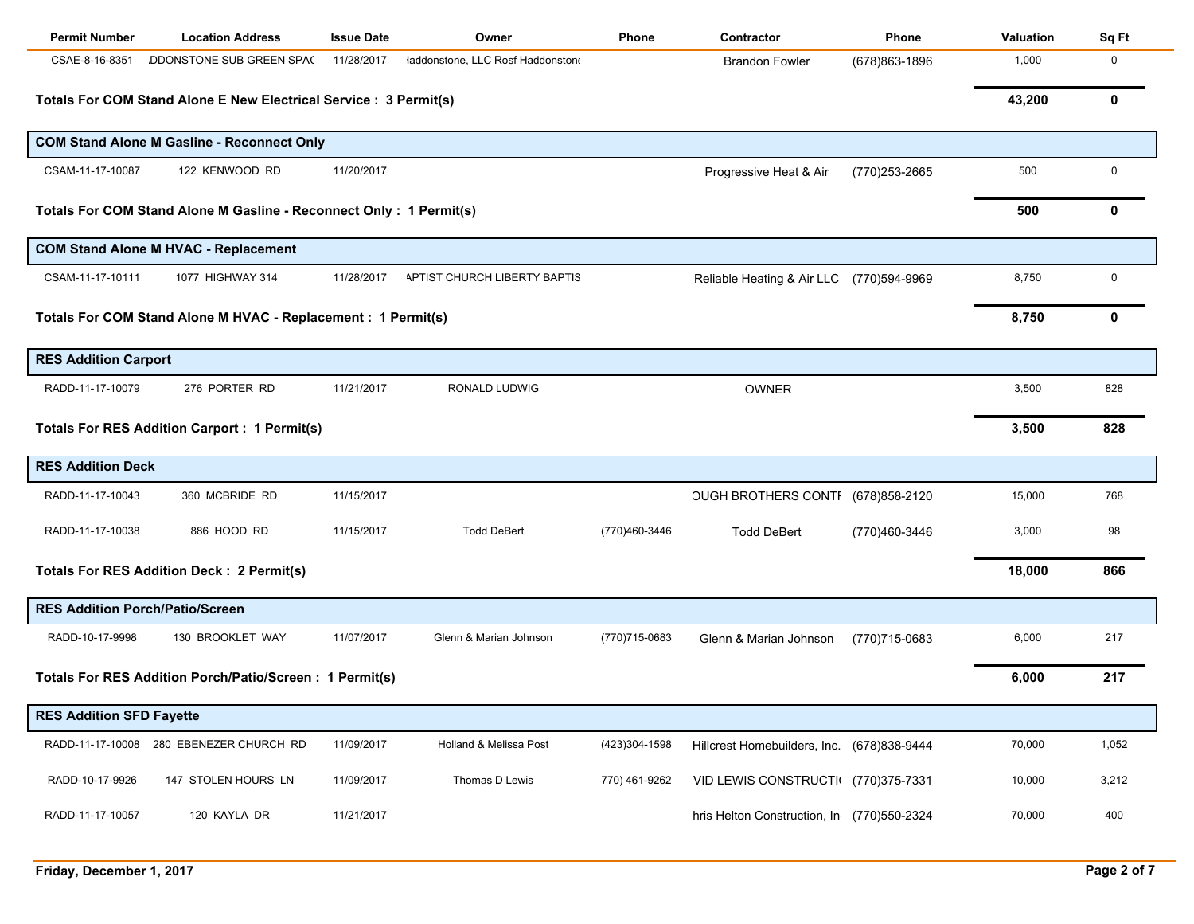| <b>Permit Number</b>                                                | <b>Location Address</b>                                           | <b>Issue Date</b> | Owner                            | Phone         | Contractor                                 | <b>Phone</b>   | <b>Valuation</b> | Sq Ft |
|---------------------------------------------------------------------|-------------------------------------------------------------------|-------------------|----------------------------------|---------------|--------------------------------------------|----------------|------------------|-------|
| CSAE-8-16-8351                                                      | DDONSTONE SUB GREEN SPAC                                          | 11/28/2017        | laddonstone, LLC Rosf Haddonston |               | <b>Brandon Fowler</b>                      | (678) 863-1896 | 1,000            | 0     |
|                                                                     | Totals For COM Stand Alone E New Electrical Service : 3 Permit(s) |                   |                                  |               |                                            |                | 43,200           | 0     |
|                                                                     | <b>COM Stand Alone M Gasline - Reconnect Only</b>                 |                   |                                  |               |                                            |                |                  |       |
| CSAM-11-17-10087                                                    | 122 KENWOOD RD                                                    | 11/20/2017        |                                  |               | Progressive Heat & Air                     | (770)253-2665  | 500              | 0     |
| Totals For COM Stand Alone M Gasline - Reconnect Only : 1 Permit(s) | 500                                                               | 0                 |                                  |               |                                            |                |                  |       |
|                                                                     | <b>COM Stand Alone M HVAC - Replacement</b>                       |                   |                                  |               |                                            |                |                  |       |
| CSAM-11-17-10111                                                    | 1077 HIGHWAY 314                                                  | 11/28/2017        | APTIST CHURCH LIBERTY BAPTIS     |               | Reliable Heating & Air LLC (770)594-9969   |                | 8,750            | 0     |
|                                                                     | Totals For COM Stand Alone M HVAC - Replacement : 1 Permit(s)     |                   |                                  |               |                                            |                | 8,750            | 0     |
| <b>RES Addition Carport</b>                                         |                                                                   |                   |                                  |               |                                            |                |                  |       |
| RADD-11-17-10079                                                    | 276 PORTER RD                                                     | 11/21/2017        | RONALD LUDWIG                    |               | <b>OWNER</b>                               |                | 3,500            | 828   |
|                                                                     | <b>Totals For RES Addition Carport : 1 Permit(s)</b>              |                   |                                  |               |                                            |                | 3,500            | 828   |
| <b>RES Addition Deck</b>                                            |                                                                   |                   |                                  |               |                                            |                |                  |       |
| RADD-11-17-10043                                                    | 360 MCBRIDE RD                                                    | 11/15/2017        |                                  |               | OUGH BROTHERS CONTI (678)858-2120          |                | 15,000           | 768   |
| RADD-11-17-10038                                                    | 886 HOOD RD                                                       | 11/15/2017        | <b>Todd DeBert</b>               | (770)460-3446 | <b>Todd DeBert</b>                         | (770)460-3446  | 3,000            | 98    |
|                                                                     | Totals For RES Addition Deck : 2 Permit(s)                        |                   |                                  |               |                                            |                | 18,000           | 866   |
| <b>RES Addition Porch/Patio/Screen</b>                              |                                                                   |                   |                                  |               |                                            |                |                  |       |
| RADD-10-17-9998                                                     | 130 BROOKLET WAY                                                  | 11/07/2017        | Glenn & Marian Johnson           | (770)715-0683 | Glenn & Marian Johnson                     | (770)715-0683  | 6,000            | 217   |
|                                                                     | Totals For RES Addition Porch/Patio/Screen: 1 Permit(s)           |                   |                                  |               |                                            |                | 6,000            | 217   |
| <b>RES Addition SFD Fayette</b>                                     |                                                                   |                   |                                  |               |                                            |                |                  |       |
|                                                                     | RADD-11-17-10008 280 EBENEZER CHURCH RD                           | 11/09/2017        | Holland & Melissa Post           | (423)304-1598 | Hillcrest Homebuilders, Inc. (678)838-9444 |                | 70,000           | 1,052 |
| RADD-10-17-9926                                                     | 147 STOLEN HOURS LN                                               | 11/09/2017        | Thomas D Lewis                   | 770) 461-9262 | VID LEWIS CONSTRUCTI (770)375-7331         |                | 10,000           | 3,212 |
| RADD-11-17-10057                                                    | 120 KAYLA DR                                                      | 11/21/2017        |                                  |               | hris Helton Construction, In (770)550-2324 |                | 70,000           | 400   |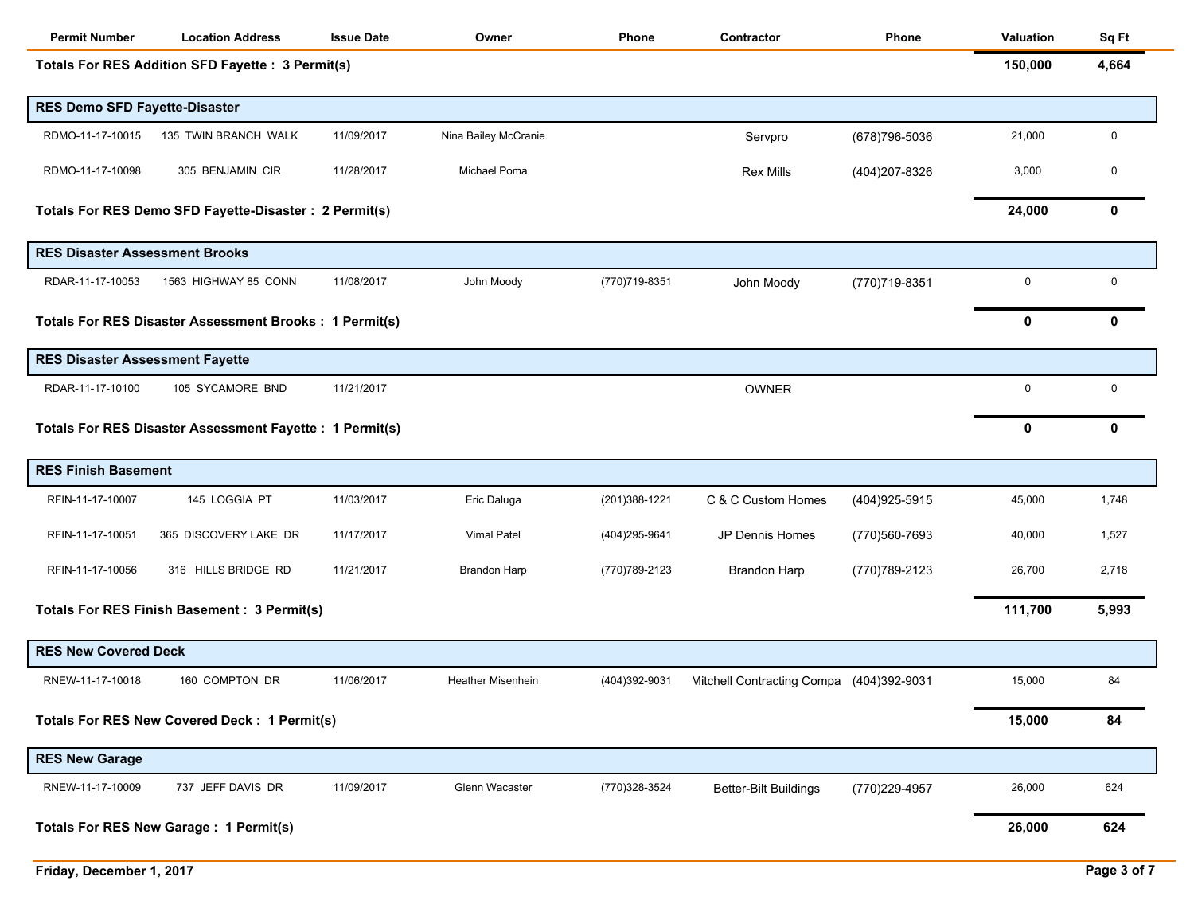| <b>Permit Number</b>                   | <b>Location Address</b>                                       | <b>Issue Date</b> | Owner                    | Phone          | Contractor                               | Phone          | <b>Valuation</b> | Sq Ft       |
|----------------------------------------|---------------------------------------------------------------|-------------------|--------------------------|----------------|------------------------------------------|----------------|------------------|-------------|
|                                        | Totals For RES Addition SFD Fayette : 3 Permit(s)             |                   |                          |                |                                          |                | 150,000          | 4,664       |
| <b>RES Demo SFD Fayette-Disaster</b>   |                                                               |                   |                          |                |                                          |                |                  |             |
| RDMO-11-17-10015                       | 135 TWIN BRANCH WALK                                          | 11/09/2017        | Nina Bailey McCranie     |                | Servpro                                  | (678) 796-5036 | 21,000           | $\mathbf 0$ |
| RDMO-11-17-10098                       | 305 BENJAMIN CIR                                              | 11/28/2017        | Michael Poma             |                | <b>Rex Mills</b>                         | (404) 207-8326 | 3,000            | 0           |
|                                        | Totals For RES Demo SFD Fayette-Disaster : 2 Permit(s)        |                   |                          |                |                                          |                | 24,000           | 0           |
| <b>RES Disaster Assessment Brooks</b>  |                                                               |                   |                          |                |                                          |                |                  |             |
| RDAR-11-17-10053                       | 1563 HIGHWAY 85 CONN                                          | 11/08/2017        | John Moody               | (770) 719-8351 | John Moody                               | (770)719-8351  | 0                | 0           |
|                                        | <b>Totals For RES Disaster Assessment Brooks: 1 Permit(s)</b> |                   |                          |                |                                          |                | 0                | 0           |
| <b>RES Disaster Assessment Fayette</b> |                                                               |                   |                          |                |                                          |                |                  |             |
| RDAR-11-17-10100                       | 105 SYCAMORE BND                                              | 11/21/2017        |                          |                | <b>OWNER</b>                             |                | 0                | 0           |
|                                        | Totals For RES Disaster Assessment Fayette : 1 Permit(s)      |                   |                          |                |                                          |                | $\mathbf 0$      | 0           |
| <b>RES Finish Basement</b>             |                                                               |                   |                          |                |                                          |                |                  |             |
| RFIN-11-17-10007                       | 145 LOGGIA PT                                                 | 11/03/2017        | Eric Daluga              | (201) 388-1221 | C & C Custom Homes                       | (404) 925-5915 | 45,000           | 1,748       |
| RFIN-11-17-10051                       | 365 DISCOVERY LAKE DR                                         | 11/17/2017        | Vimal Patel              | (404) 295-9641 | JP Dennis Homes                          | (770) 560-7693 | 40,000           | 1,527       |
| RFIN-11-17-10056                       | 316 HILLS BRIDGE RD                                           | 11/21/2017        | Brandon Harp             | (770) 789-2123 | <b>Brandon Harp</b>                      | (770) 789-2123 | 26,700           | 2,718       |
|                                        | Totals For RES Finish Basement : 3 Permit(s)                  |                   |                          |                |                                          |                | 111,700          | 5,993       |
| <b>RES New Covered Deck</b>            |                                                               |                   |                          |                |                                          |                |                  |             |
| RNEW-11-17-10018                       | 160 COMPTON DR                                                | 11/06/2017        | <b>Heather Misenhein</b> | (404)392-9031  | Mitchell Contracting Compa (404)392-9031 |                | 15,000           | 84          |
|                                        | <b>Totals For RES New Covered Deck: 1 Permit(s)</b>           |                   |                          |                |                                          |                | 15,000           | 84          |
| <b>RES New Garage</b>                  |                                                               |                   |                          |                |                                          |                |                  |             |
| RNEW-11-17-10009                       | 737 JEFF DAVIS DR                                             | 11/09/2017        | Glenn Wacaster           | (770)328-3524  | <b>Better-Bilt Buildings</b>             | (770)229-4957  | 26,000           | 624         |
|                                        | Totals For RES New Garage : 1 Permit(s)                       |                   |                          |                |                                          |                | 26,000           | 624         |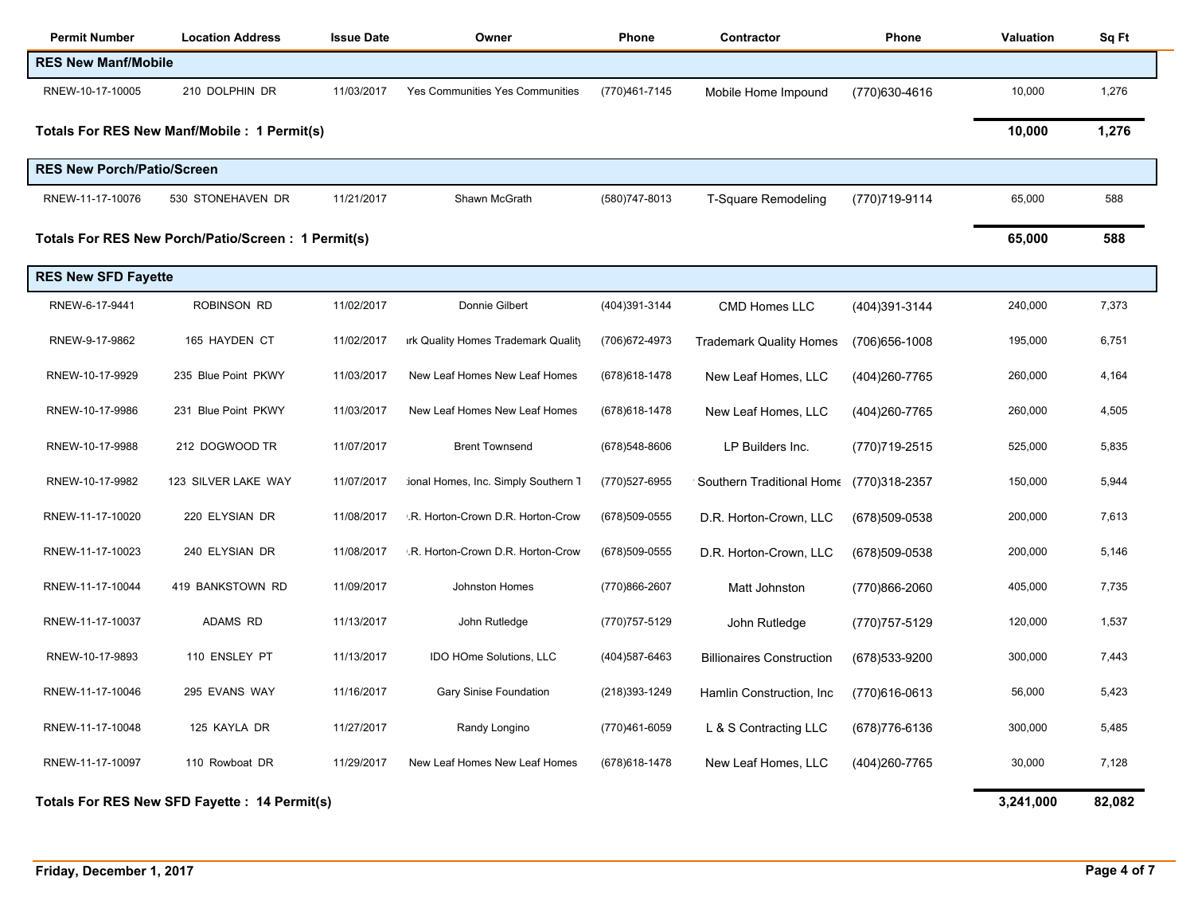| <b>Permit Number</b>                         | <b>Location Address</b>                            | <b>Issue Date</b> | Owner                               | Phone          | Contractor                       | Phone          | Valuation | Sq Ft |
|----------------------------------------------|----------------------------------------------------|-------------------|-------------------------------------|----------------|----------------------------------|----------------|-----------|-------|
| <b>RES New Manf/Mobile</b>                   |                                                    |                   |                                     |                |                                  |                |           |       |
| RNEW-10-17-10005                             | 210 DOLPHIN DR                                     | 11/03/2017        | Yes Communities Yes Communities     | (770)461-7145  | Mobile Home Impound              | (770)630-4616  | 10,000    | 1,276 |
|                                              | Totals For RES New Manf/Mobile : 1 Permit(s)       |                   |                                     |                |                                  |                | 10,000    | 1,276 |
| <b>RES New Porch/Patio/Screen</b>            |                                                    |                   |                                     |                |                                  |                |           |       |
| RNEW-11-17-10076                             | 530 STONEHAVEN DR                                  | 11/21/2017        | Shawn McGrath                       | (580) 747-8013 | T-Square Remodeling              | (770)719-9114  | 65,000    | 588   |
|                                              | Totals For RES New Porch/Patio/Screen: 1 Permit(s) |                   |                                     |                |                                  |                | 65,000    | 588   |
| <b>RES New SFD Fayette</b>                   |                                                    |                   |                                     |                |                                  |                |           |       |
| RNEW-6-17-9441                               | <b>ROBINSON RD</b>                                 | 11/02/2017        | Donnie Gilbert                      | (404)391-3144  | <b>CMD Homes LLC</b>             | (404)391-3144  | 240,000   | 7,373 |
| RNEW-9-17-9862                               | 165 HAYDEN CT                                      | 11/02/2017        | irk Quality Homes Trademark Quality | (706) 672-4973 | <b>Trademark Quality Homes</b>   | (706) 656-1008 | 195,000   | 6,751 |
| RNEW-10-17-9929                              | 235 Blue Point PKWY                                | 11/03/2017        | New Leaf Homes New Leaf Homes       | (678) 618-1478 | New Leaf Homes, LLC              | (404) 260-7765 | 260,000   | 4,164 |
| RNEW-10-17-9986                              | 231 Blue Point PKWY                                | 11/03/2017        | New Leaf Homes New Leaf Homes       | (678) 618-1478 | New Leaf Homes, LLC              | (404) 260-7765 | 260,000   | 4,505 |
| RNEW-10-17-9988                              | 212 DOGWOOD TR                                     | 11/07/2017        | <b>Brent Townsend</b>               | (678) 548-8606 | LP Builders Inc.                 | (770)719-2515  | 525,000   | 5,835 |
| RNEW-10-17-9982                              | 123 SILVER LAKE WAY                                | 11/07/2017        | ional Homes, Inc. Simply Southern 1 | (770) 527-6955 | ' Southern Traditional Hom∈      | (770)318-2357  | 150,000   | 5,944 |
| RNEW-11-17-10020                             | 220 ELYSIAN DR                                     | 11/08/2017        | .R. Horton-Crown D.R. Horton-Crow   | (678) 509-0555 | D.R. Horton-Crown, LLC           | (678)509-0538  | 200,000   | 7,613 |
| RNEW-11-17-10023                             | 240 ELYSIAN DR                                     | 11/08/2017        | .R. Horton-Crown D.R. Horton-Crow   | (678) 509-0555 | D.R. Horton-Crown, LLC           | (678)509-0538  | 200,000   | 5,146 |
| RNEW-11-17-10044                             | 419 BANKSTOWN RD                                   | 11/09/2017        | Johnston Homes                      | (770)866-2607  | Matt Johnston                    | (770)866-2060  | 405,000   | 7,735 |
| RNEW-11-17-10037                             | <b>ADAMS RD</b>                                    | 11/13/2017        | John Rutledge                       | (770) 757-5129 | John Rutledge                    | (770) 757-5129 | 120,000   | 1,537 |
| RNEW-10-17-9893                              | 110 ENSLEY PT                                      | 11/13/2017        | IDO HOme Solutions, LLC             | (404) 587-6463 | <b>Billionaires Construction</b> | (678) 533-9200 | 300,000   | 7,443 |
| RNEW-11-17-10046                             | 295 EVANS WAY                                      | 11/16/2017        | <b>Gary Sinise Foundation</b>       | (218)393-1249  | Hamlin Construction, Inc.        | (770)616-0613  | 56,000    | 5,423 |
| RNEW-11-17-10048                             | 125 KAYLA DR                                       | 11/27/2017        | Randy Longino                       | (770)461-6059  | L & S Contracting LLC            | (678) 776-6136 | 300,000   | 5,485 |
| RNEW-11-17-10097                             | 110 Rowboat DR                                     | 11/29/2017        | New Leaf Homes New Leaf Homes       | (678) 618-1478 | New Leaf Homes, LLC              | (404) 260-7765 | 30,000    | 7,128 |
| Totals For RES New SFD Fayette: 14 Permit(s) | 3,241,000                                          | 82,082            |                                     |                |                                  |                |           |       |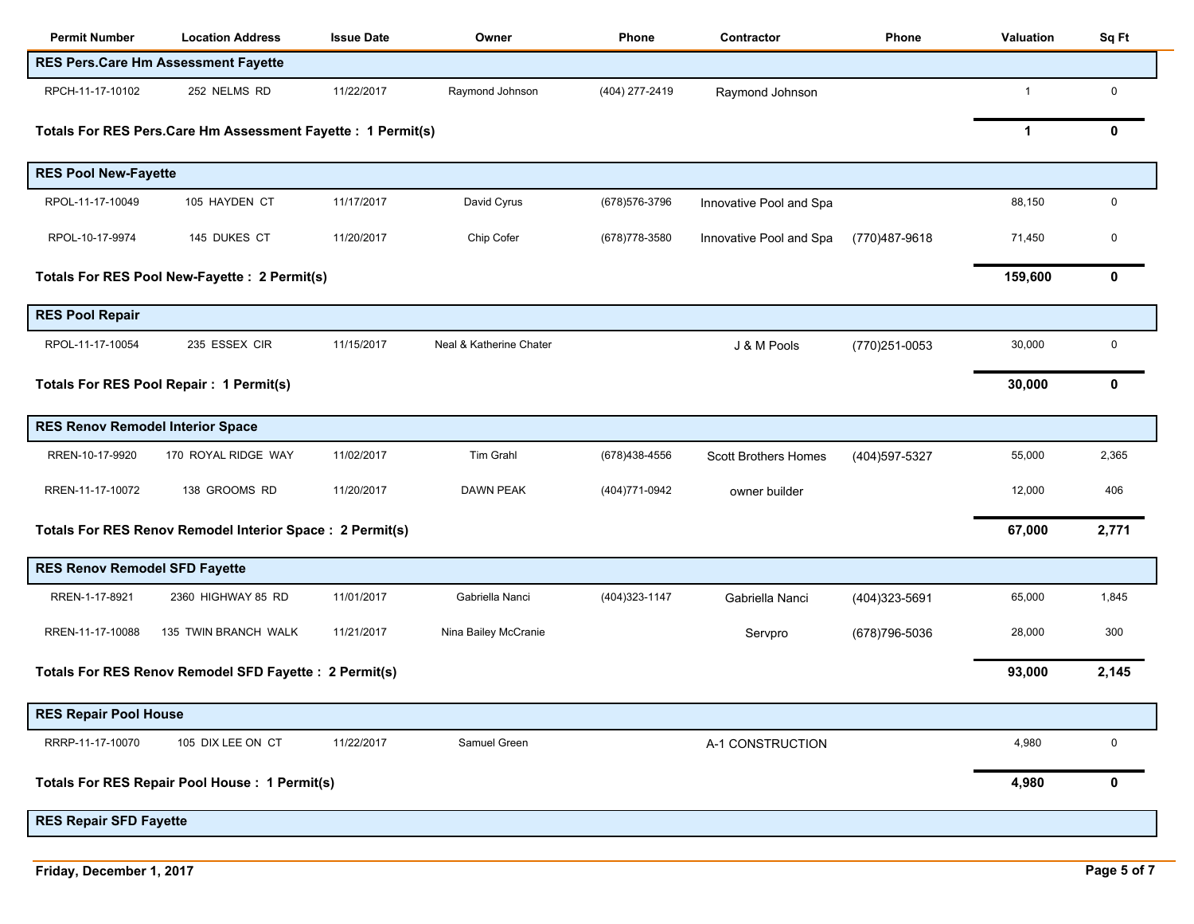| <b>Permit Number</b>                    | <b>Location Address</b>                                       | <b>Issue Date</b> | Owner                   | Phone          | Contractor              | <b>Phone</b>   | Valuation      | Sq Ft       |
|-----------------------------------------|---------------------------------------------------------------|-------------------|-------------------------|----------------|-------------------------|----------------|----------------|-------------|
|                                         | <b>RES Pers.Care Hm Assessment Fayette</b>                    |                   |                         |                |                         |                |                |             |
| RPCH-11-17-10102                        | 252 NELMS RD                                                  | 11/22/2017        | Raymond Johnson         | (404) 277-2419 | Raymond Johnson         |                | $\overline{1}$ | $\mathbf 0$ |
|                                         | Totals For RES Pers. Care Hm Assessment Fayette : 1 Permit(s) |                   |                         |                |                         |                | 1              | 0           |
| <b>RES Pool New-Fayette</b>             |                                                               |                   |                         |                |                         |                |                |             |
| RPOL-11-17-10049                        | 105 HAYDEN CT                                                 | 11/17/2017        | David Cyrus             | (678) 576-3796 | Innovative Pool and Spa |                | 88,150         | $\mathbf 0$ |
| RPOL-10-17-9974                         | 145 DUKES CT                                                  | 11/20/2017        | Chip Cofer              | (678) 778-3580 | Innovative Pool and Spa | (770)487-9618  | 71,450         | 0           |
|                                         | Totals For RES Pool New-Fayette : 2 Permit(s)                 |                   |                         |                |                         |                | 159,600        | 0           |
| <b>RES Pool Repair</b>                  |                                                               |                   |                         |                |                         |                |                |             |
| RPOL-11-17-10054                        | 235 ESSEX CIR                                                 | 11/15/2017        | Neal & Katherine Chater |                | J & M Pools             | (770)251-0053  | 30,000         | $\pmb{0}$   |
|                                         | Totals For RES Pool Repair: 1 Permit(s)                       |                   |                         |                |                         |                | 30,000         | 0           |
| <b>RES Renov Remodel Interior Space</b> |                                                               |                   |                         |                |                         |                |                |             |
| RREN-10-17-9920                         | 170 ROYAL RIDGE WAY                                           | 11/02/2017        | Tim Grahl               | (678) 438-4556 | Scott Brothers Homes    | (404) 597-5327 | 55,000         | 2,365       |
| RREN-11-17-10072                        | 138 GROOMS RD                                                 | 11/20/2017        | <b>DAWN PEAK</b>        | (404) 771-0942 | owner builder           |                | 12,000         | 406         |
|                                         | Totals For RES Renov Remodel Interior Space : 2 Permit(s)     |                   |                         |                |                         |                | 67,000         | 2,771       |
| <b>RES Renov Remodel SFD Fayette</b>    |                                                               |                   |                         |                |                         |                |                |             |
| RREN-1-17-8921                          | 2360 HIGHWAY 85 RD                                            | 11/01/2017        | Gabriella Nanci         | (404) 323-1147 | Gabriella Nanci         | (404) 323-5691 | 65,000         | 1,845       |
| RREN-11-17-10088                        | 135 TWIN BRANCH WALK                                          | 11/21/2017        | Nina Bailey McCranie    |                | Servpro                 | (678) 796-5036 | 28,000         | 300         |
|                                         | Totals For RES Renov Remodel SFD Fayette : 2 Permit(s)        |                   |                         |                |                         |                | 93,000         | 2,145       |
| <b>RES Repair Pool House</b>            |                                                               |                   |                         |                |                         |                |                |             |
| RRRP-11-17-10070                        | 105 DIX LEE ON CT                                             | 11/22/2017        | Samuel Green            |                | A-1 CONSTRUCTION        |                | 4,980          | $\pmb{0}$   |
|                                         | Totals For RES Repair Pool House : 1 Permit(s)                |                   |                         |                |                         |                | 4,980          | 0           |
| <b>RES Repair SFD Fayette</b>           |                                                               |                   |                         |                |                         |                |                |             |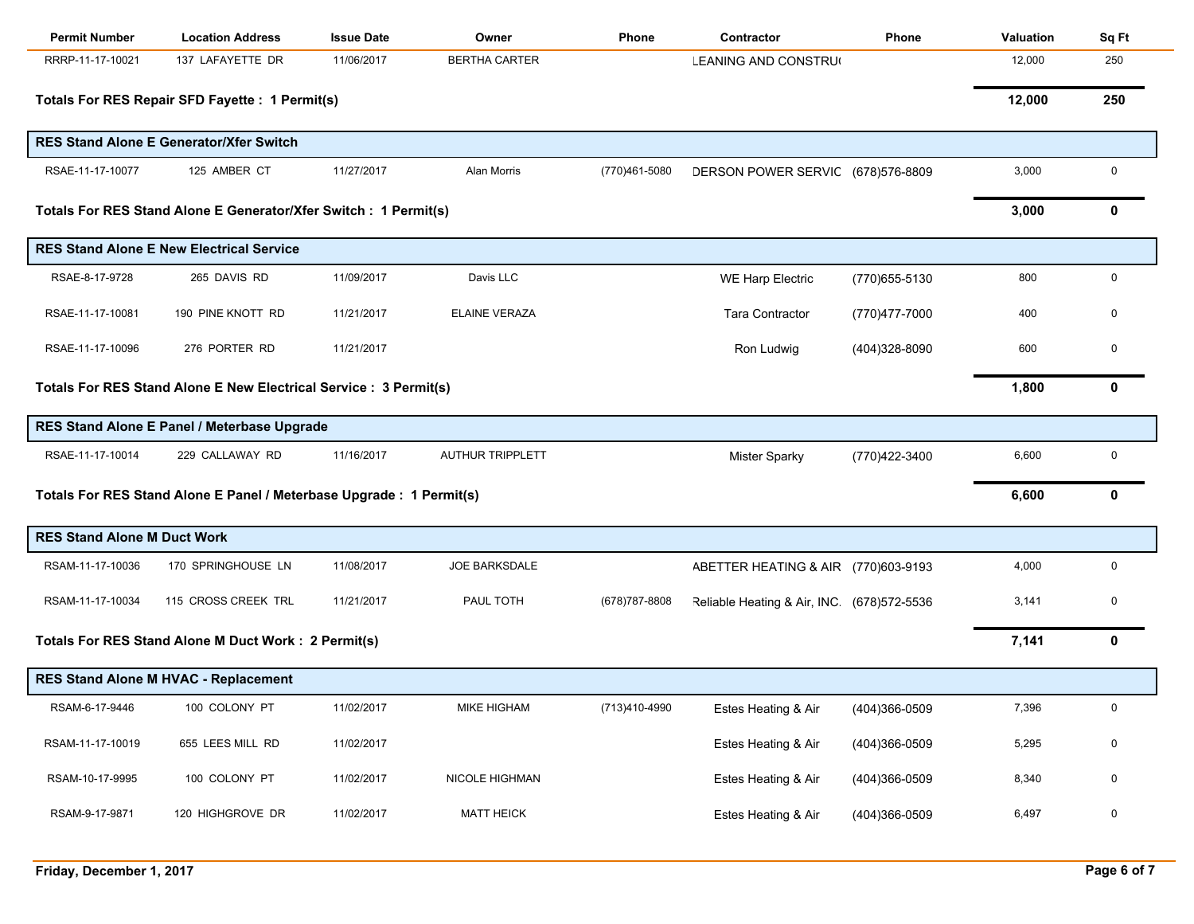| <b>Permit Number</b>               | <b>Location Address</b>                                              | <b>Issue Date</b> | Owner                   | Phone          | Contractor                                | Phone          | Valuation | Sq Ft            |
|------------------------------------|----------------------------------------------------------------------|-------------------|-------------------------|----------------|-------------------------------------------|----------------|-----------|------------------|
| RRRP-11-17-10021                   | 137 LAFAYETTE DR                                                     | 11/06/2017        | <b>BERTHA CARTER</b>    |                | LEANING AND CONSTRU                       |                | 12,000    | 250              |
|                                    | Totals For RES Repair SFD Fayette : 1 Permit(s)                      |                   |                         |                |                                           |                | 12,000    | 250              |
|                                    | <b>RES Stand Alone E Generator/Xfer Switch</b>                       |                   |                         |                |                                           |                |           |                  |
| RSAE-11-17-10077                   | 125 AMBER CT                                                         | 11/27/2017        | Alan Morris             | (770)461-5080  | DERSON POWER SERVIC (678)576-8809         |                | 3,000     | $\pmb{0}$        |
|                                    | Totals For RES Stand Alone E Generator/Xfer Switch : 1 Permit(s)     |                   |                         |                |                                           |                | 3,000     | 0                |
|                                    | <b>RES Stand Alone E New Electrical Service</b>                      |                   |                         |                |                                           |                |           |                  |
| RSAE-8-17-9728                     | 265 DAVIS RD                                                         | 11/09/2017        | Davis LLC               |                | <b>WE Harp Electric</b>                   | (770) 655-5130 | 800       | $\mathbf 0$      |
| RSAE-11-17-10081                   | 190 PINE KNOTT RD                                                    | 11/21/2017        | <b>ELAINE VERAZA</b>    |                | <b>Tara Contractor</b>                    | (770)477-7000  | 400       | 0                |
| RSAE-11-17-10096                   | 276 PORTER RD                                                        | 11/21/2017        |                         |                | Ron Ludwig                                | (404)328-8090  | 600       | 0                |
|                                    | Totals For RES Stand Alone E New Electrical Service : 3 Permit(s)    |                   |                         |                |                                           |                | 1,800     | 0                |
|                                    | RES Stand Alone E Panel / Meterbase Upgrade                          |                   |                         |                |                                           |                |           |                  |
| RSAE-11-17-10014                   | 229 CALLAWAY RD                                                      | 11/16/2017        | <b>AUTHUR TRIPPLETT</b> |                | <b>Mister Sparky</b>                      | (770)422-3400  | 6,600     | 0                |
|                                    | Totals For RES Stand Alone E Panel / Meterbase Upgrade : 1 Permit(s) |                   |                         |                |                                           |                | 6,600     | 0                |
| <b>RES Stand Alone M Duct Work</b> |                                                                      |                   |                         |                |                                           |                |           |                  |
| RSAM-11-17-10036                   | 170 SPRINGHOUSE LN                                                   | 11/08/2017        | <b>JOE BARKSDALE</b>    |                | ABETTER HEATING & AIR (770)603-9193       |                | 4,000     | 0                |
| RSAM-11-17-10034                   | 115 CROSS CREEK TRL                                                  | 11/21/2017        | PAUL TOTH               | (678) 787-8808 | Reliable Heating & Air, INC (678)572-5536 |                | 3,141     | 0                |
|                                    | Totals For RES Stand Alone M Duct Work: 2 Permit(s)                  |                   |                         |                |                                           |                | 7,141     | 0                |
|                                    | <b>RES Stand Alone M HVAC - Replacement</b>                          |                   |                         |                |                                           |                |           |                  |
| RSAM-6-17-9446                     | 100 COLONY PT                                                        | 11/02/2017        | <b>MIKE HIGHAM</b>      | (713)410-4990  | Estes Heating & Air                       | (404)366-0509  | 7,396     | 0                |
| RSAM-11-17-10019                   | 655 LEES MILL RD                                                     | 11/02/2017        |                         |                | Estes Heating & Air                       | (404)366-0509  | 5,295     | 0                |
| RSAM-10-17-9995                    | 100 COLONY PT                                                        | 11/02/2017        | NICOLE HIGHMAN          |                | Estes Heating & Air                       | (404)366-0509  | 8,340     | 0                |
| RSAM-9-17-9871                     | 120 HIGHGROVE DR                                                     | 11/02/2017        | <b>MATT HEICK</b>       |                | Estes Heating & Air                       | (404)366-0509  | 6,497     | $\boldsymbol{0}$ |